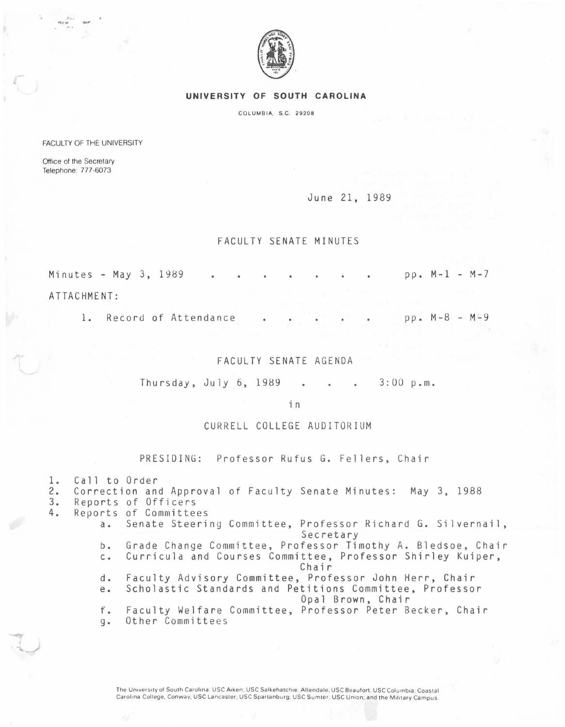

#### **UNIVERSITY OF SOUTH CAROLINA**

COLUMBIA, S.C. 29208

FACULTY OF THE UNIVERSITY

Office of the Secretary Telephone: 777-6073

 $\frac{\mu_{\rm{tot}}}{\sigma_{\rm{eff}}}\,$  . ...

June 21, 1989

### FACULTY SENATE MINUTES

Minutes - May 3, 1989 . . . . . . . . pp. M-1 - M-7

ATTACHMENT:

1. Record of Attendance . . . . . pp. M-8 - M=9

#### FACULTY SENATE AGENDA

Thursday, July 6,  $1989$  . . . 3:00 p.m.

in

## CURRELL COLLEGE AUDITORIUM

PRESIDING: Professor Rufus G. Fellers, Chair

1. Call to Order<br>2. Correction and 2. Correction and Approval of Faculty Senate Minutes: May 3, 1988 3. Reports of Officers<br>4. Reports of Committed Reports of Committees a. Senate Steering Committee, Professor Richard G. Silvernail, Secretary b. Grade Change Committee, Professor Timothy A. Bledsoe, Chair c. Curricula and Courses Committee, Professor Shirley Kuiper, Chair d. Faculty Advisory Committee, Professor John Herr, Chair e. Scholastic Standards and Petitions Committee, Professor Opal Brown, Chair f. Faculty Welfare Committee, Professor Peter Becker, Chair g. Other Committees

> The University of South Carolina: USC Aiken; USC Salkehatchie, Allendale; USC Beaufort; USC Columbia; Coastal Carolina College, Conway; USC Lancaster; USC Spartanburg; USC Sumter; USC Union; and the Military Campus.